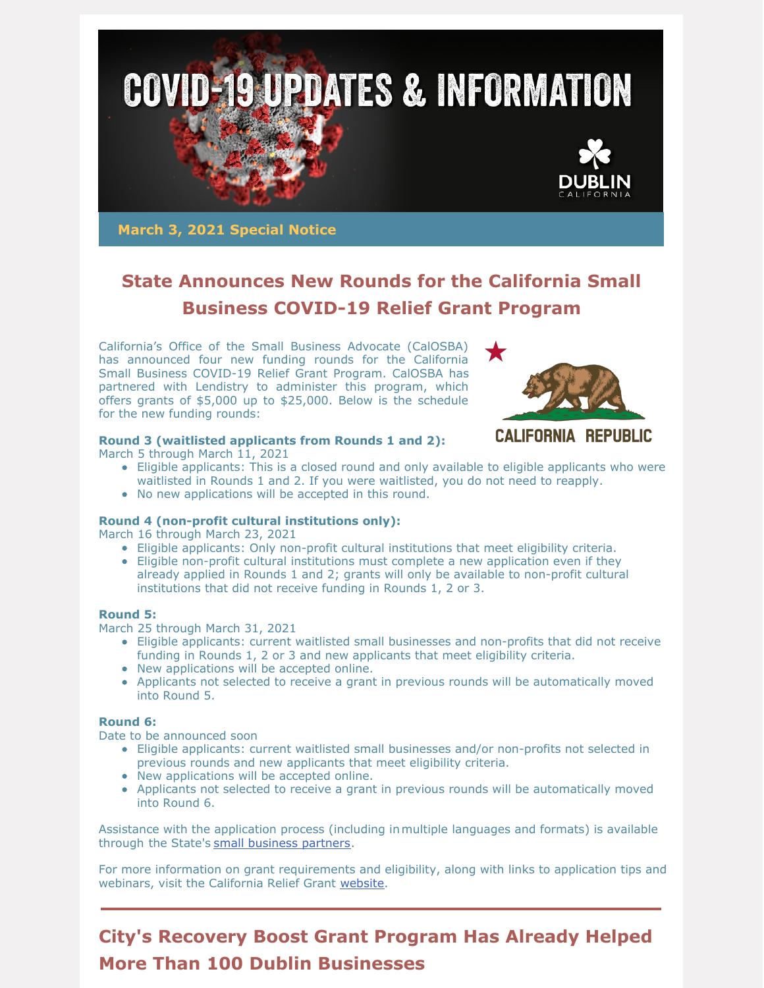

**March 3, 2021 Special Notice**

## **State Announces New Rounds for the California Small Business COVID-19 Relief Grant Program**

California's Office of the Small Business Advocate (CalOSBA) has announced four new funding rounds for the California Small Business COVID-19 Relief Grant Program. CalOSBA has partnered with Lendistry to administer this program, which offers grants of \$5,000 up to \$25,000. Below is the schedule for the new funding rounds:



### **CALIFORNIA REPUBLIC**

### **Round 3 (waitlisted applicants from Rounds 1 and 2):**

March 5 through March 11, 2021

- Eligible applicants: This is a closed round and only available to eligible applicants who were waitlisted in Rounds 1 and 2. If you were waitlisted, you do not need to reapply.
- No new applications will be accepted in this round.

#### **Round 4 (non-profit cultural institutions only):**

March 16 through March 23, 2021

- Eligible applicants: Only non-profit cultural institutions that meet eligibility criteria.
- Eligible non-profit cultural institutions must complete a new application even if they already applied in Rounds 1 and 2; grants will only be available to non-profit cultural institutions that did not receive funding in Rounds 1, 2 or 3.

#### **Round 5:**

March 25 through March 31, 2021

- Eligible applicants: current waitlisted small businesses and non-profits that did not receive funding in Rounds 1, 2 or 3 and new applicants that meet eligibility criteria.
- New applications will be accepted online.
- Applicants not selected to receive a grant in previous rounds will be automatically moved into Round 5.

#### **Round 6:**

Date to be announced soon

- Eligible applicants: current waitlisted small businesses and/or non-profits not selected in previous rounds and new applicants that meet eligibility criteria.
- New applications will be accepted online.
- Applicants not selected to receive a grant in previous rounds will be automatically moved into Round 6.

Assistance with the application process (including inmultiple languages and formats) is available through the State's small [business](https://business.ca.gov/advantages/small-business-innovation-and-entrepreneurship/how-we-can-help/covid-19-resources-map/) partners.

For more information on grant requirements and eligibility, along with links to application tips and webinars, visit the California Relief Grant [website](https://careliefgrant.com/).

## **City's Recovery Boost Grant Program Has Already Helped More Than 100 Dublin Businesses**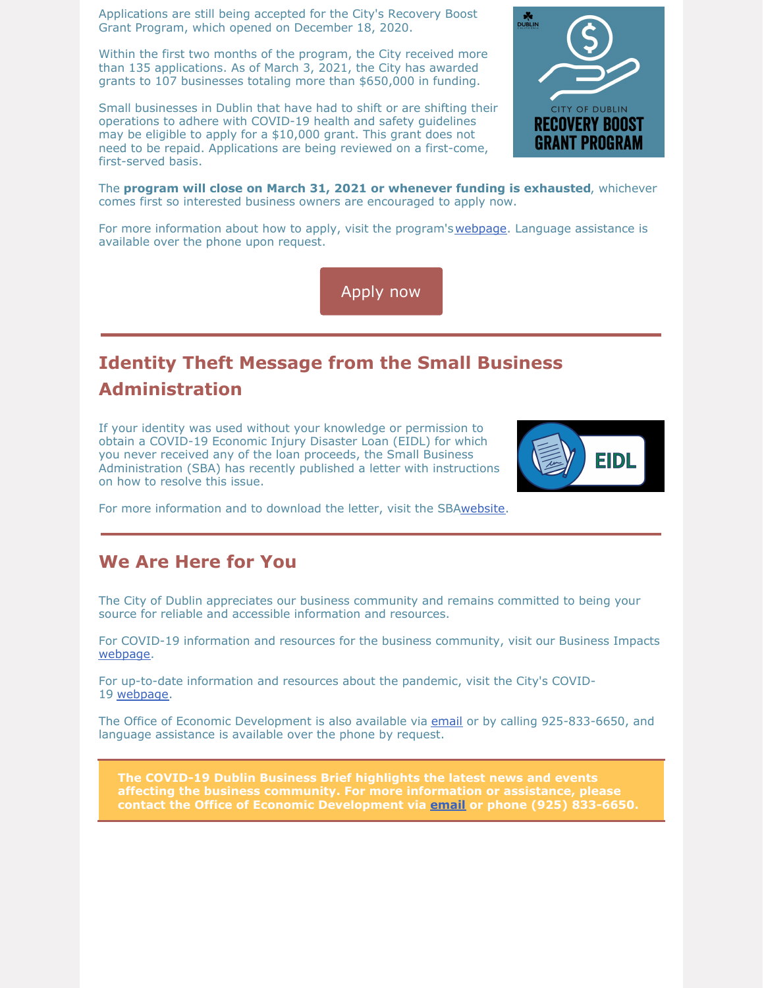Applications are still being accepted for the City's Recovery Boost Grant Program, which opened on December 18, 2020.

Within the first two months of the program, the City received more than 135 applications. As of March 3, 2021, the City has awarded grants to 107 businesses totaling more than \$650,000 in funding.

Small businesses in Dublin that have had to shift or are shifting their operations to adhere with COVID-19 health and safety guidelines may be eligible to apply for a \$10,000 grant. This grant does not need to be repaid. Applications are being reviewed on a first-come, first-served basis.



The **program will close on March 31, 2021 or whenever funding is exhausted**, whichever comes first so interested business owners are encouraged to apply now.

For more information about how to apply, visit the program's [webpage](https://dublin.ca.gov/recoveryboostgrant). Language assistance is available over the phone upon request.

[Apply](https://dublin.ca.gov/recoveryboostgrant) now

# **Identity Theft Message from the Small Business Administration**

If your identity was used without your knowledge or permission to obtain a COVID-19 Economic Injury Disaster Loan (EIDL) for which you never received any of the loan proceeds, the Small Business Administration (SBA) has recently published a letter with instructions on how to resolve this issue.



For more information and to download the letter, visit the SB[Awebsite](https://www.sba.gov/document/support-covid-19-economic-injury-disaster-loan-identity-theft-letter).

### **We Are Here for You**

The City of Dublin appreciates our business community and remains committed to being your source for reliable and accessible information and resources.

For COVID-19 information and resources for the business community, visit our Business Impacts [webpage](https://dublin.ca.gov/2177/COVID-19-Business-Impacts).

For up-to-date information and resources about the pandemic, visit the City's COVID-19 [webpage](https://www.dublin.ca.gov/coronavirus).

The Office of Economic Development is also available via [email](mailto:economic.development@dublin.ca.gov) or by calling 925-833-6650, and language assistance is available over the phone by request.

**The COVID-19 Dublin Business Brief highlights the latest news and events affecting the business community. For more information or assistance, please contact the Office of Economic Development via [email](mailto:economic.development@dublin.ca.gov) or phone (925) 833-6650.**